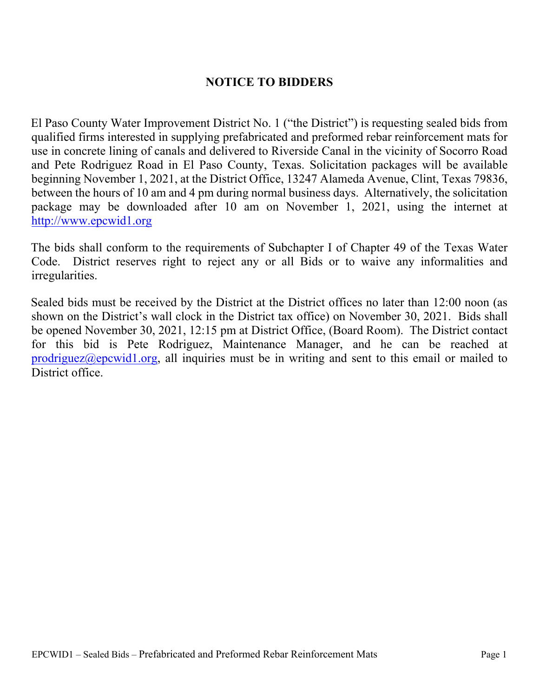### **NOTICE TO BIDDERS**

El Paso County Water Improvement District No. 1 ("the District") is requesting sealed bids from qualified firms interested in supplying prefabricated and preformed rebar reinforcement mats for use in concrete lining of canals and delivered to Riverside Canal in the vicinity of Socorro Road and Pete Rodriguez Road in El Paso County, Texas. Solicitation packages will be available beginning November 1, 2021, at the District Office, 13247 Alameda Avenue, Clint, Texas 79836, between the hours of 10 am and 4 pm during normal business days. Alternatively, the solicitation package may be downloaded after 10 am on November 1, 2021, using the internet at http://www.epcwid1.org

The bids shall conform to the requirements of Subchapter I of Chapter 49 of the Texas Water Code. District reserves right to reject any or all Bids or to waive any informalities and irregularities.

Sealed bids must be received by the District at the District offices no later than 12:00 noon (as shown on the District's wall clock in the District tax office) on November 30, 2021. Bids shall be opened November 30, 2021, 12:15 pm at District Office, (Board Room). The District contact for this bid is Pete Rodriguez, Maintenance Manager, and he can be reached at prodriguez@epcwid1.org, all inquiries must be in writing and sent to this email or mailed to District office.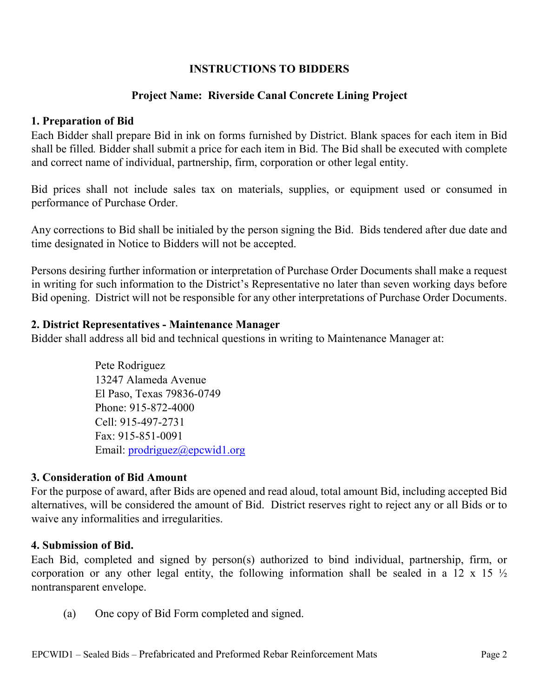### **INSTRUCTIONS TO BIDDERS**

### **Project Name: Riverside Canal Concrete Lining Project**

#### **1. Preparation of Bid**

Each Bidder shall prepare Bid in ink on forms furnished by District. Blank spaces for each item in Bid shall be filled*.* Bidder shall submit a price for each item in Bid. The Bid shall be executed with complete and correct name of individual, partnership, firm, corporation or other legal entity.

Bid prices shall not include sales tax on materials, supplies, or equipment used or consumed in performance of Purchase Order.

Any corrections to Bid shall be initialed by the person signing the Bid. Bids tendered after due date and time designated in Notice to Bidders will not be accepted.

Persons desiring further information or interpretation of Purchase Order Documents shall make a request in writing for such information to the District's Representative no later than seven working days before Bid opening. District will not be responsible for any other interpretations of Purchase Order Documents.

#### **2. District Representatives - Maintenance Manager**

Bidder shall address all bid and technical questions in writing to Maintenance Manager at:

Pete Rodriguez 13247 Alameda Avenue El Paso, Texas 79836-0749 Phone: 915-872-4000 Cell: 915-497-2731 Fax: 915-851-0091 Email: prodriguez@epcwid1.org

#### **3. Consideration of Bid Amount**

For the purpose of award, after Bids are opened and read aloud, total amount Bid, including accepted Bid alternatives, will be considered the amount of Bid. District reserves right to reject any or all Bids or to waive any informalities and irregularities.

#### **4. Submission of Bid.**

Each Bid, completed and signed by person(s) authorized to bind individual, partnership, firm, or corporation or any other legal entity, the following information shall be sealed in a 12 x 15  $\frac{1}{2}$ nontransparent envelope.

(a) One copy of Bid Form completed and signed.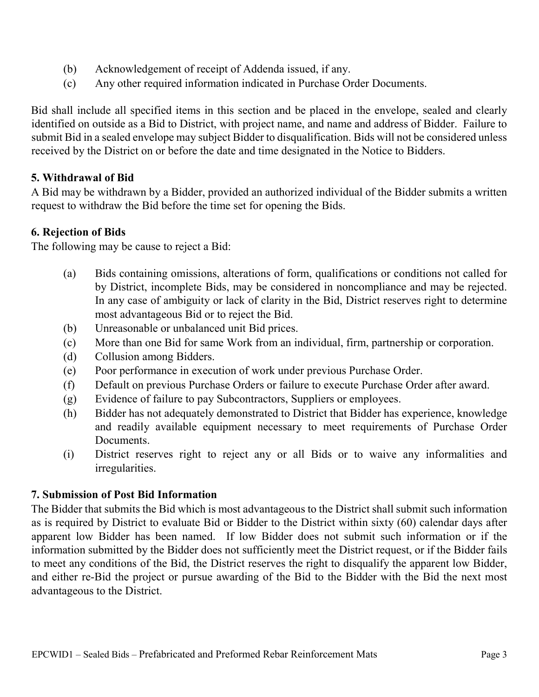- (b) Acknowledgement of receipt of Addenda issued, if any.
- (c) Any other required information indicated in Purchase Order Documents.

Bid shall include all specified items in this section and be placed in the envelope, sealed and clearly identified on outside as a Bid to District, with project name, and name and address of Bidder. Failure to submit Bid in a sealed envelope may subject Bidder to disqualification. Bids will not be considered unless received by the District on or before the date and time designated in the Notice to Bidders.

### **5. Withdrawal of Bid**

A Bid may be withdrawn by a Bidder, provided an authorized individual of the Bidder submits a written request to withdraw the Bid before the time set for opening the Bids.

### **6. Rejection of Bids**

The following may be cause to reject a Bid:

- (a) Bids containing omissions, alterations of form, qualifications or conditions not called for by District, incomplete Bids, may be considered in noncompliance and may be rejected. In any case of ambiguity or lack of clarity in the Bid, District reserves right to determine most advantageous Bid or to reject the Bid.
- (b) Unreasonable or unbalanced unit Bid prices.
- (c) More than one Bid for same Work from an individual, firm, partnership or corporation.
- (d) Collusion among Bidders.
- (e) Poor performance in execution of work under previous Purchase Order.
- (f) Default on previous Purchase Orders or failure to execute Purchase Order after award.
- (g) Evidence of failure to pay Subcontractors, Suppliers or employees.
- (h) Bidder has not adequately demonstrated to District that Bidder has experience, knowledge and readily available equipment necessary to meet requirements of Purchase Order Documents.
- (i) District reserves right to reject any or all Bids or to waive any informalities and irregularities.

### **7. Submission of Post Bid Information**

The Bidder that submits the Bid which is most advantageous to the District shall submit such information as is required by District to evaluate Bid or Bidder to the District within sixty (60) calendar days after apparent low Bidder has been named. If low Bidder does not submit such information or if the information submitted by the Bidder does not sufficiently meet the District request, or if the Bidder fails to meet any conditions of the Bid, the District reserves the right to disqualify the apparent low Bidder, and either re-Bid the project or pursue awarding of the Bid to the Bidder with the Bid the next most advantageous to the District.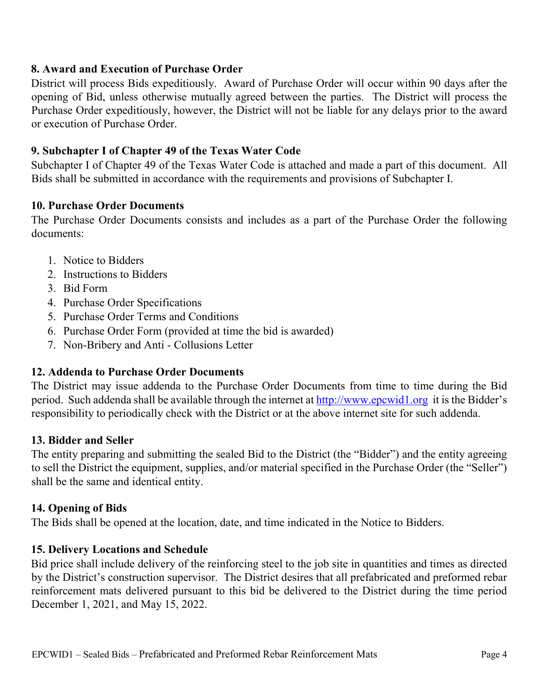### **8. Award and Execution of Purchase Order**

District will process Bids expeditiously. Award of Purchase Order will occur within 90 days after the opening of Bid, unless otherwise mutually agreed between the parties. The District will process the Purchase Order expeditiously, however, the District will not be liable for any delays prior to the award or execution of Purchase Order.

### **9. Subchapter I of Chapter 49 of the Texas Water Code**

Subchapter I of Chapter 49 of the Texas Water Code is attached and made a part of this document. All Bids shall be submitted in accordance with the requirements and provisions of Subchapter I.

#### **10. Purchase Order Documents**

The Purchase Order Documents consists and includes as a part of the Purchase Order the following documents:

- 1. Notice to Bidders
- 2. Instructions to Bidders
- 3. Bid Form
- 4. Purchase Order Specifications
- 5. Purchase Order Terms and Conditions
- 6. Purchase Order Form (provided at time the bid is awarded)
- 7. Non-Bribery and Anti Collusions Letter

### **12. Addenda to Purchase Order Documents**

The District may issue addenda to the Purchase Order Documents from time to time during the Bid period. Such addenda shall be available through the internet at [http://www.epcwid1.org](http://www.epcwid1.org/) it is the Bidder's responsibility to periodically check with the District or at the above internet site for such addenda.

#### **13. Bidder and Seller**

The entity preparing and submitting the sealed Bid to the District (the "Bidder") and the entity agreeing to sell the District the equipment, supplies, and/or material specified in the Purchase Order (the "Seller") shall be the same and identical entity.

#### **14. Opening of Bids**

The Bids shall be opened at the location, date, and time indicated in the Notice to Bidders.

### **15. Delivery Locations and Schedule**

Bid price shall include delivery of the reinforcing steel to the job site in quantities and times as directed by the District's construction supervisor. The District desires that all prefabricated and preformed rebar reinforcement mats delivered pursuant to this bid be delivered to the District during the time period December 1, 2021, and May 15, 2022.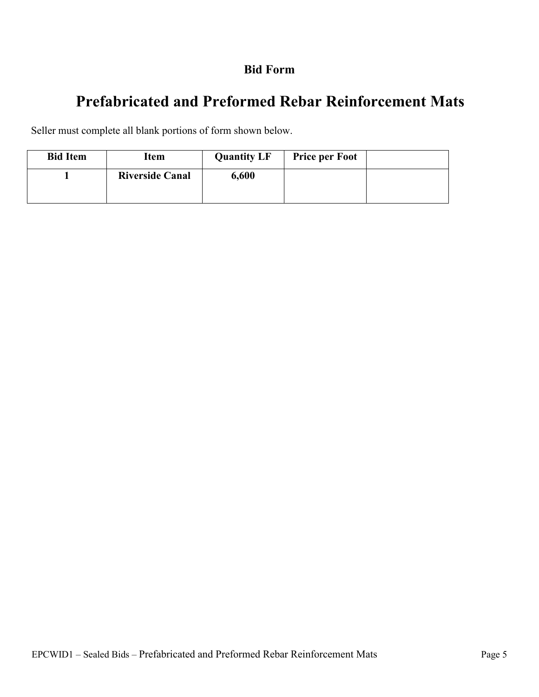### **Bid Form**

# **Prefabricated and Preformed Rebar Reinforcement Mats**

Seller must complete all blank portions of form shown below.

| <b>Bid Item</b> | <b>Item</b>            | <b>Quantity LF</b> | <b>Price per Foot</b> |  |
|-----------------|------------------------|--------------------|-----------------------|--|
|                 | <b>Riverside Canal</b> | 6,600              |                       |  |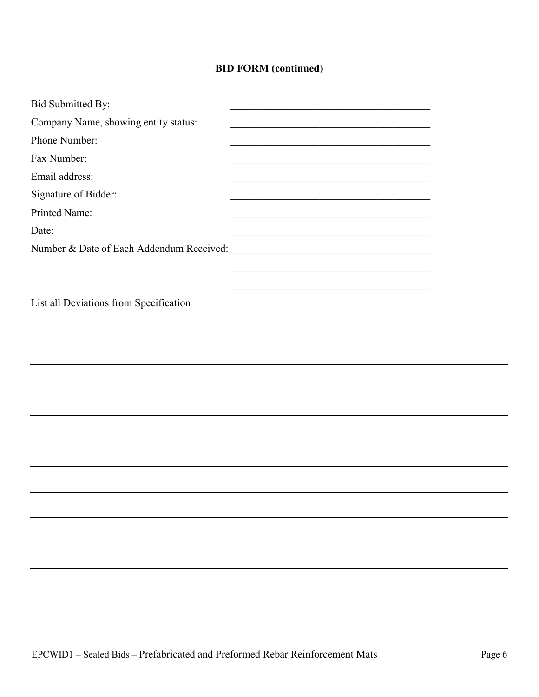### **BID FORM (continued)**

| Bid Submitted By:                      |                                                         |  |
|----------------------------------------|---------------------------------------------------------|--|
| Company Name, showing entity status:   | <u> 1989 - Johann Barbara, martin amerikan basar da</u> |  |
| Phone Number:                          |                                                         |  |
| Fax Number:                            |                                                         |  |
| Email address:                         |                                                         |  |
| Signature of Bidder:                   |                                                         |  |
| Printed Name:                          |                                                         |  |
| Date:                                  |                                                         |  |
|                                        |                                                         |  |
|                                        |                                                         |  |
|                                        |                                                         |  |
| List all Deviations from Specification |                                                         |  |
|                                        |                                                         |  |
|                                        |                                                         |  |
|                                        |                                                         |  |
|                                        |                                                         |  |
|                                        |                                                         |  |
|                                        |                                                         |  |
|                                        |                                                         |  |
|                                        |                                                         |  |
|                                        |                                                         |  |
|                                        |                                                         |  |
|                                        |                                                         |  |
|                                        |                                                         |  |
|                                        |                                                         |  |
|                                        |                                                         |  |
|                                        |                                                         |  |
|                                        |                                                         |  |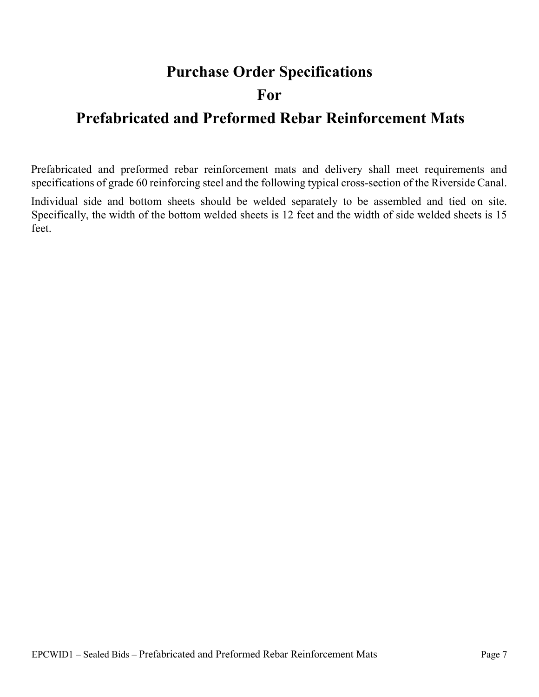## **Purchase Order Specifications**

## **For**

# **Prefabricated and Preformed Rebar Reinforcement Mats**

Prefabricated and preformed rebar reinforcement mats and delivery shall meet requirements and specifications of grade 60 reinforcing steel and the following typical cross-section of the Riverside Canal.

Individual side and bottom sheets should be welded separately to be assembled and tied on site. Specifically, the width of the bottom welded sheets is 12 feet and the width of side welded sheets is 15 feet.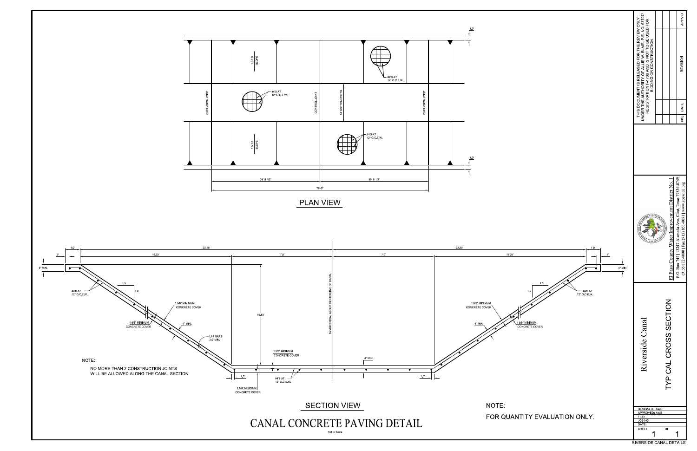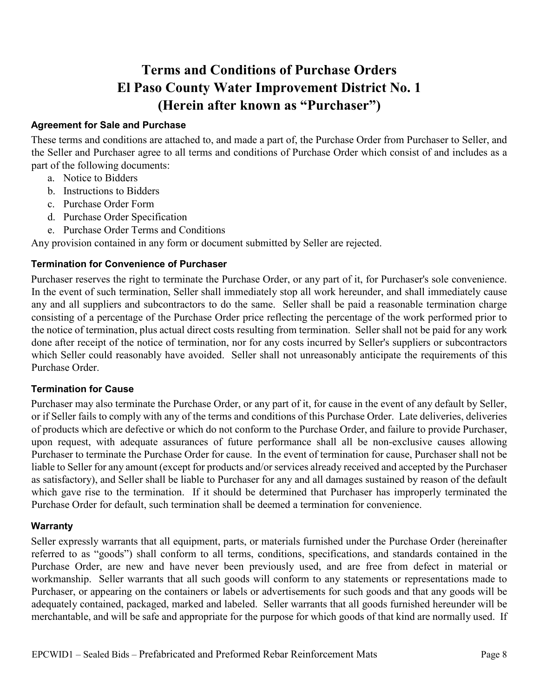## **Terms and Conditions of Purchase Orders El Paso County Water Improvement District No. 1 (Herein after known as "Purchaser")**

#### **Agreement for Sale and Purchase**

These terms and conditions are attached to, and made a part of, the Purchase Order from Purchaser to Seller, and the Seller and Purchaser agree to all terms and conditions of Purchase Order which consist of and includes as a part of the following documents:

- a. Notice to Bidders
- b. Instructions to Bidders
- c. Purchase Order Form
- d. Purchase Order Specification
- e. Purchase Order Terms and Conditions

Any provision contained in any form or document submitted by Seller are rejected.

#### **Termination for Convenience of Purchaser**

Purchaser reserves the right to terminate the Purchase Order, or any part of it, for Purchaser's sole convenience. In the event of such termination, Seller shall immediately stop all work hereunder, and shall immediately cause any and all suppliers and subcontractors to do the same. Seller shall be paid a reasonable termination charge consisting of a percentage of the Purchase Order price reflecting the percentage of the work performed prior to the notice of termination, plus actual direct costs resulting from termination. Seller shall not be paid for any work done after receipt of the notice of termination, nor for any costs incurred by Seller's suppliers or subcontractors which Seller could reasonably have avoided. Seller shall not unreasonably anticipate the requirements of this Purchase Order.

#### **Termination for Cause**

Purchaser may also terminate the Purchase Order, or any part of it, for cause in the event of any default by Seller, or if Seller fails to comply with any of the terms and conditions of this Purchase Order. Late deliveries, deliveries of products which are defective or which do not conform to the Purchase Order, and failure to provide Purchaser, upon request, with adequate assurances of future performance shall all be non-exclusive causes allowing Purchaser to terminate the Purchase Order for cause. In the event of termination for cause, Purchaser shall not be liable to Seller for any amount (except for products and/or services already received and accepted by the Purchaser as satisfactory), and Seller shall be liable to Purchaser for any and all damages sustained by reason of the default which gave rise to the termination. If it should be determined that Purchaser has improperly terminated the Purchase Order for default, such termination shall be deemed a termination for convenience.

#### **Warranty**

Seller expressly warrants that all equipment, parts, or materials furnished under the Purchase Order (hereinafter referred to as "goods") shall conform to all terms, conditions, specifications, and standards contained in the Purchase Order, are new and have never been previously used, and are free from defect in material or workmanship. Seller warrants that all such goods will conform to any statements or representations made to Purchaser, or appearing on the containers or labels or advertisements for such goods and that any goods will be adequately contained, packaged, marked and labeled. Seller warrants that all goods furnished hereunder will be merchantable, and will be safe and appropriate for the purpose for which goods of that kind are normally used. If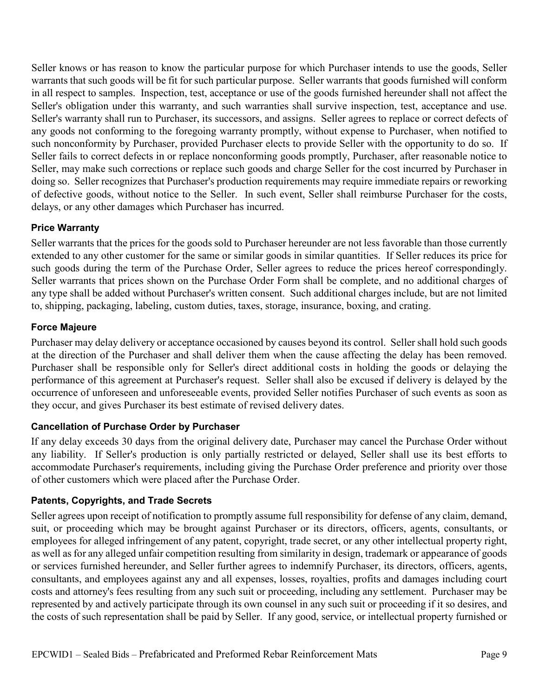Seller knows or has reason to know the particular purpose for which Purchaser intends to use the goods, Seller warrants that such goods will be fit for such particular purpose. Seller warrants that goods furnished will conform in all respect to samples. Inspection, test, acceptance or use of the goods furnished hereunder shall not affect the Seller's obligation under this warranty, and such warranties shall survive inspection, test, acceptance and use. Seller's warranty shall run to Purchaser, its successors, and assigns. Seller agrees to replace or correct defects of any goods not conforming to the foregoing warranty promptly, without expense to Purchaser, when notified to such nonconformity by Purchaser, provided Purchaser elects to provide Seller with the opportunity to do so. If Seller fails to correct defects in or replace nonconforming goods promptly, Purchaser, after reasonable notice to Seller, may make such corrections or replace such goods and charge Seller for the cost incurred by Purchaser in doing so. Seller recognizes that Purchaser's production requirements may require immediate repairs or reworking of defective goods, without notice to the Seller. In such event, Seller shall reimburse Purchaser for the costs, delays, or any other damages which Purchaser has incurred.

#### **Price Warranty**

Seller warrants that the prices for the goods sold to Purchaser hereunder are not less favorable than those currently extended to any other customer for the same or similar goods in similar quantities. If Seller reduces its price for such goods during the term of the Purchase Order, Seller agrees to reduce the prices hereof correspondingly. Seller warrants that prices shown on the Purchase Order Form shall be complete, and no additional charges of any type shall be added without Purchaser's written consent. Such additional charges include, but are not limited to, shipping, packaging, labeling, custom duties, taxes, storage, insurance, boxing, and crating.

#### **Force Majeure**

Purchaser may delay delivery or acceptance occasioned by causes beyond its control. Seller shall hold such goods at the direction of the Purchaser and shall deliver them when the cause affecting the delay has been removed. Purchaser shall be responsible only for Seller's direct additional costs in holding the goods or delaying the performance of this agreement at Purchaser's request. Seller shall also be excused if delivery is delayed by the occurrence of unforeseen and unforeseeable events, provided Seller notifies Purchaser of such events as soon as they occur, and gives Purchaser its best estimate of revised delivery dates.

#### **Cancellation of Purchase Order by Purchaser**

If any delay exceeds 30 days from the original delivery date, Purchaser may cancel the Purchase Order without any liability. If Seller's production is only partially restricted or delayed, Seller shall use its best efforts to accommodate Purchaser's requirements, including giving the Purchase Order preference and priority over those of other customers which were placed after the Purchase Order.

#### **Patents, Copyrights, and Trade Secrets**

Seller agrees upon receipt of notification to promptly assume full responsibility for defense of any claim, demand, suit, or proceeding which may be brought against Purchaser or its directors, officers, agents, consultants, or employees for alleged infringement of any patent, copyright, trade secret, or any other intellectual property right, as well as for any alleged unfair competition resulting from similarity in design, trademark or appearance of goods or services furnished hereunder, and Seller further agrees to indemnify Purchaser, its directors, officers, agents, consultants, and employees against any and all expenses, losses, royalties, profits and damages including court costs and attorney's fees resulting from any such suit or proceeding, including any settlement. Purchaser may be represented by and actively participate through its own counsel in any such suit or proceeding if it so desires, and the costs of such representation shall be paid by Seller. If any good, service, or intellectual property furnished or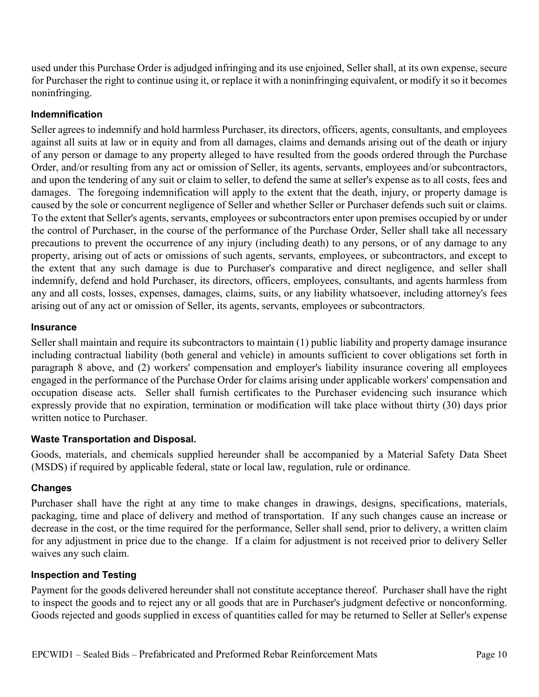used under this Purchase Order is adjudged infringing and its use enjoined, Seller shall, at its own expense, secure for Purchaser the right to continue using it, or replace it with a noninfringing equivalent, or modify it so it becomes noninfringing.

#### **Indemnification**

Seller agrees to indemnify and hold harmless Purchaser, its directors, officers, agents, consultants, and employees against all suits at law or in equity and from all damages, claims and demands arising out of the death or injury of any person or damage to any property alleged to have resulted from the goods ordered through the Purchase Order, and/or resulting from any act or omission of Seller, its agents, servants, employees and/or subcontractors, and upon the tendering of any suit or claim to seller, to defend the same at seller's expense as to all costs, fees and damages. The foregoing indemnification will apply to the extent that the death, injury, or property damage is caused by the sole or concurrent negligence of Seller and whether Seller or Purchaser defends such suit or claims. To the extent that Seller's agents, servants, employees or subcontractors enter upon premises occupied by or under the control of Purchaser, in the course of the performance of the Purchase Order, Seller shall take all necessary precautions to prevent the occurrence of any injury (including death) to any persons, or of any damage to any property, arising out of acts or omissions of such agents, servants, employees, or subcontractors, and except to the extent that any such damage is due to Purchaser's comparative and direct negligence, and seller shall indemnify, defend and hold Purchaser, its directors, officers, employees, consultants, and agents harmless from any and all costs, losses, expenses, damages, claims, suits, or any liability whatsoever, including attorney's fees arising out of any act or omission of Seller, its agents, servants, employees or subcontractors.

#### **Insurance**

Seller shall maintain and require its subcontractors to maintain (1) public liability and property damage insurance including contractual liability (both general and vehicle) in amounts sufficient to cover obligations set forth in paragraph 8 above, and (2) workers' compensation and employer's liability insurance covering all employees engaged in the performance of the Purchase Order for claims arising under applicable workers' compensation and occupation disease acts. Seller shall furnish certificates to the Purchaser evidencing such insurance which expressly provide that no expiration, termination or modification will take place without thirty (30) days prior written notice to Purchaser.

#### **Waste Transportation and Disposal.**

Goods, materials, and chemicals supplied hereunder shall be accompanied by a Material Safety Data Sheet (MSDS) if required by applicable federal, state or local law, regulation, rule or ordinance.

#### **Changes**

Purchaser shall have the right at any time to make changes in drawings, designs, specifications, materials, packaging, time and place of delivery and method of transportation. If any such changes cause an increase or decrease in the cost, or the time required for the performance, Seller shall send, prior to delivery, a written claim for any adjustment in price due to the change. If a claim for adjustment is not received prior to delivery Seller waives any such claim.

#### **Inspection and Testing**

Payment for the goods delivered hereunder shall not constitute acceptance thereof. Purchaser shall have the right to inspect the goods and to reject any or all goods that are in Purchaser's judgment defective or nonconforming. Goods rejected and goods supplied in excess of quantities called for may be returned to Seller at Seller's expense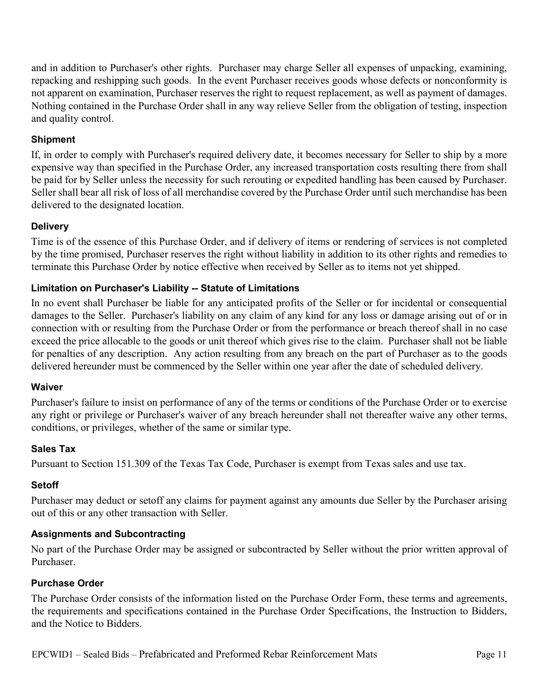and in addition to Purchaser's other rights. Purchaser may charge Seller all expenses of unpacking, examining, repacking and reshipping such goods. In the event Purchaser receives goods whose defects or nonconformity is not apparent on examination, Purchaser reserves the right to request replacement, as well as payment of damages. Nothing contained in the Purchase Order shall in any way relieve Seller from the obligation of testing, inspection and quality control.

#### **Shipment**

If, in order to comply with Purchaser's required delivery date, it becomes necessary for Seller to ship by a more expensive way than specified in the Purchase Order, any increased transportation costs resulting there from shall be paid for by Seller unless the necessity for such rerouting or expedited handling has been caused by Purchaser. Seller shall bear all risk of loss of all merchandise covered by the Purchase Order until such merchandise has been delivered to the designated location.

#### **Delivery**

Time is of the essence of this Purchase Order, and if delivery of items or rendering of services is not completed by the time promised, Purchaser reserves the right without liability in addition to its other rights and remedies to terminate this Purchase Order by notice effective when received by Seller as to items not yet shipped.

#### **Limitation on Purchaser's Liability -- Statute of Limitations**

In no event shall Purchaser be liable for any anticipated profits of the Seller or for incidental or consequential damages to the Seller. Purchaser's liability on any claim of any kind for any loss or damage arising out of or in connection with or resulting from the Purchase Order or from the performance or breach thereof shall in no case exceed the price allocable to the goods or unit thereof which gives rise to the claim. Purchaser shall not be liable for penalties of any description. Any action resulting from any breach on the part of Purchaser as to the goods delivered hereunder must be commenced by the Seller within one year after the date of scheduled delivery.

#### **Waiver**

Purchaser's failure to insist on performance of any of the terms or conditions of the Purchase Order or to exercise any right or privilege or Purchaser's waiver of any breach hereunder shall not thereafter waive any other terms, conditions, or privileges, whether of the same or similar type.

#### **Sales Tax**

Pursuant to Section 151.309 of the Texas Tax Code, Purchaser is exempt from Texas sales and use tax.

#### **Setoff**

Purchaser may deduct or setoff any claims for payment against any amounts due Seller by the Purchaser arising out of this or any other transaction with Seller.

#### **Assignments and Subcontracting**

No part of the Purchase Order may be assigned or subcontracted by Seller without the prior written approval of Purchaser.

#### **Purchase Order**

The Purchase Order consists of the information listed on the Purchase Order Form, these terms and agreements, the requirements and specifications contained in the Purchase Order Specifications, the Instruction to Bidders, and the Notice to Bidders.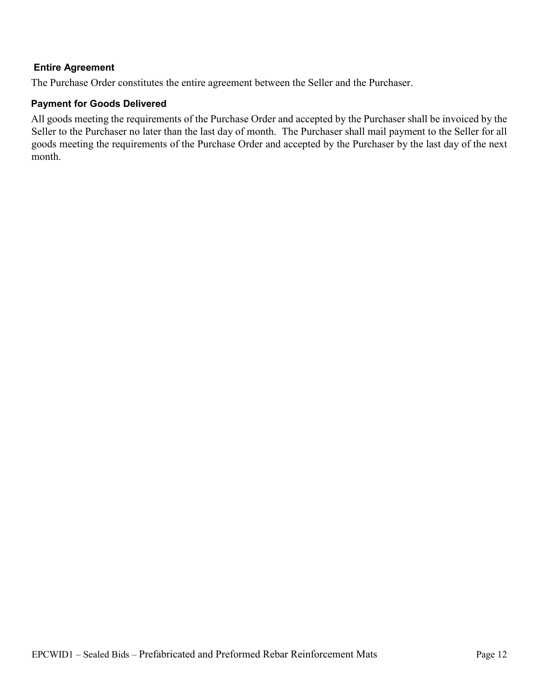#### **Entire Agreement**

The Purchase Order constitutes the entire agreement between the Seller and the Purchaser.

#### **Payment for Goods Delivered**

All goods meeting the requirements of the Purchase Order and accepted by the Purchaser shall be invoiced by the Seller to the Purchaser no later than the last day of month. The Purchaser shall mail payment to the Seller for all goods meeting the requirements of the Purchase Order and accepted by the Purchaser by the last day of the next month.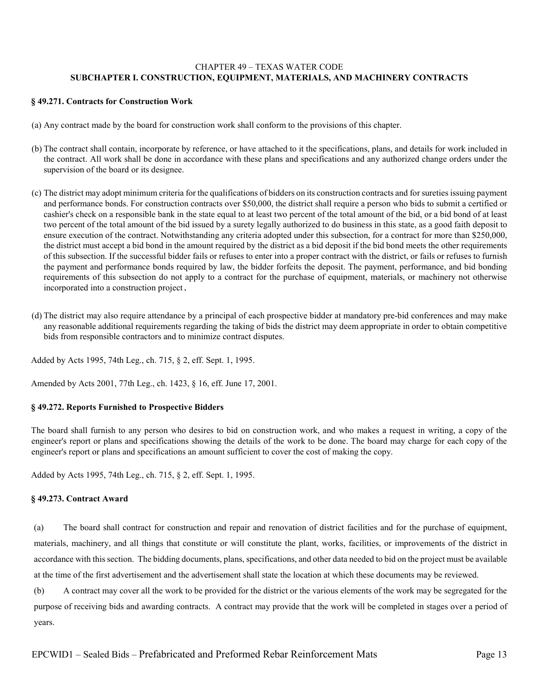#### CHAPTER 49 – TEXAS WATER CODE **SUBCHAPTER I. CONSTRUCTION, EQUIPMENT, MATERIALS, AND MACHINERY CONTRACTS**

#### **§ 49.271. Contracts for Construction Work**

- (a) Any contract made by the board for construction work shall conform to the provisions of this chapter.
- (b) The contract shall contain, incorporate by reference, or have attached to it the specifications, plans, and details for work included in the contract. All work shall be done in accordance with these plans and specifications and any authorized change orders under the supervision of the board or its designee.
- (c) The district may adopt minimum criteria for the qualifications of bidders on its construction contracts and for sureties issuing payment and performance bonds. For construction contracts over \$50,000, the district shall require a person who bids to submit a certified or cashier's check on a responsible bank in the state equal to at least two percent of the total amount of the bid, or a bid bond of at least two percent of the total amount of the bid issued by a surety legally authorized to do business in this state, as a good faith deposit to ensure execution of the contract. Notwithstanding any criteria adopted under this subsection, for a contract for more than \$250,000, the district must accept a bid bond in the amount required by the district as a bid deposit if the bid bond meets the other requirements of this subsection. If the successful bidder fails or refuses to enter into a proper contract with the district, or fails or refuses to furnish the payment and performance bonds required by law, the bidder forfeits the deposit. The payment, performance, and bid bonding requirements of this subsection do not apply to a contract for the purchase of equipment, materials, or machinery not otherwise incorporated into a construction project.
- (d) The district may also require attendance by a principal of each prospective bidder at mandatory pre-bid conferences and may make any reasonable additional requirements regarding the taking of bids the district may deem appropriate in order to obtain competitive bids from responsible contractors and to minimize contract disputes.

Added by Acts 1995, 74th Leg., ch. 715, § 2, eff. Sept. 1, 1995.

Amended by Acts 2001, 77th Leg., ch. 1423, § 16, eff. June 17, 2001.

#### **§ 49.272. Reports Furnished to Prospective Bidders**

The board shall furnish to any person who desires to bid on construction work, and who makes a request in writing, a copy of the engineer's report or plans and specifications showing the details of the work to be done. The board may charge for each copy of the engineer's report or plans and specifications an amount sufficient to cover the cost of making the copy.

Added by Acts 1995, 74th Leg., ch. 715, § 2, eff. Sept. 1, 1995.

#### **§ 49.273. Contract Award**

(a) The board shall contract for construction and repair and renovation of district facilities and for the purchase of equipment, materials, machinery, and all things that constitute or will constitute the plant, works, facilities, or improvements of the district in accordance with this section. The bidding documents, plans, specifications, and other data needed to bid on the project must be available at the time of the first advertisement and the advertisement shall state the location at which these documents may be reviewed.

(b) A contract may cover all the work to be provided for the district or the various elements of the work may be segregated for the purpose of receiving bids and awarding contracts. A contract may provide that the work will be completed in stages over a period of years.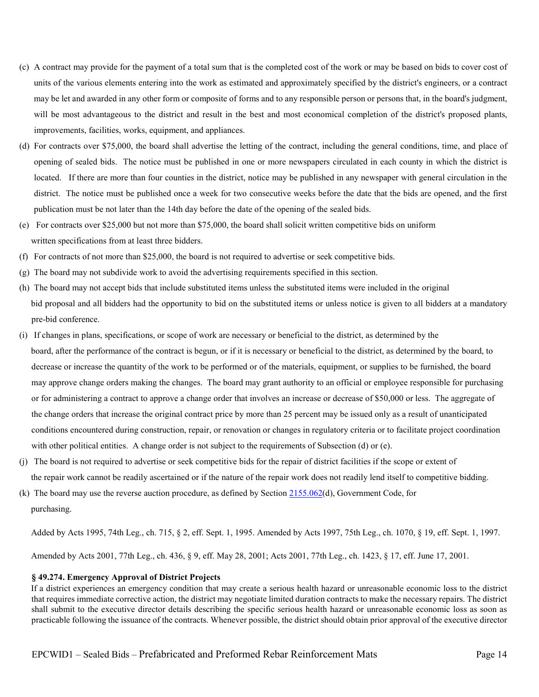- (c) A contract may provide for the payment of a total sum that is the completed cost of the work or may be based on bids to cover cost of units of the various elements entering into the work as estimated and approximately specified by the district's engineers, or a contract may be let and awarded in any other form or composite of forms and to any responsible person or persons that, in the board's judgment, will be most advantageous to the district and result in the best and most economical completion of the district's proposed plants, improvements, facilities, works, equipment, and appliances.
- (d) For contracts over \$75,000, the board shall advertise the letting of the contract, including the general conditions, time, and place of opening of sealed bids. The notice must be published in one or more newspapers circulated in each county in which the district is located. If there are more than four counties in the district, notice may be published in any newspaper with general circulation in the district. The notice must be published once a week for two consecutive weeks before the date that the bids are opened, and the first publication must be not later than the 14th day before the date of the opening of the sealed bids.
- (e) For contracts over \$25,000 but not more than \$75,000, the board shall solicit written competitive bids on uniform written specifications from at least three bidders.
- (f) For contracts of not more than \$25,000, the board is not required to advertise or seek competitive bids.
- (g) The board may not subdivide work to avoid the advertising requirements specified in this section.
- (h) The board may not accept bids that include substituted items unless the substituted items were included in the original bid proposal and all bidders had the opportunity to bid on the substituted items or unless notice is given to all bidders at a mandatory pre-bid conference.
- (i) If changes in plans, specifications, or scope of work are necessary or beneficial to the district, as determined by the board, after the performance of the contract is begun, or if it is necessary or beneficial to the district, as determined by the board, to decrease or increase the quantity of the work to be performed or of the materials, equipment, or supplies to be furnished, the board may approve change orders making the changes. The board may grant authority to an official or employee responsible for purchasing or for administering a contract to approve a change order that involves an increase or decrease of \$50,000 or less. The aggregate of the change orders that increase the original contract price by more than 25 percent may be issued only as a result of unanticipated conditions encountered during construction, repair, or renovation or changes in regulatory criteria or to facilitate project coordination with other political entities. A change order is not subject to the requirements of Subsection (d) or (e).
- (j) The board is not required to advertise or seek competitive bids for the repair of district facilities if the scope or extent of the repair work cannot be readily ascertained or if the nature of the repair work does not readily lend itself to competitive bidding.
- (k) The board may use the reverse auction procedure, as defined by Section [2155.062\(d](http://www.statutes.legis.state.tx.us/GetStatute.aspx?Code=GV&Value=2155.062)), Government Code, for purchasing.

Added by Acts 1995, 74th Leg., ch. 715, § 2, eff. Sept. 1, 1995. Amended by Acts 1997, 75th Leg., ch. 1070, § 19, eff. Sept. 1, 1997.

Amended by Acts 2001, 77th Leg., ch. 436, § 9, eff. May 28, 2001; Acts 2001, 77th Leg., ch. 1423, § 17, eff. June 17, 2001.

#### **§ 49.274. Emergency Approval of District Projects**

If a district experiences an emergency condition that may create a serious health hazard or unreasonable economic loss to the district that requires immediate corrective action, the district may negotiate limited duration contracts to make the necessary repairs. The district shall submit to the executive director details describing the specific serious health hazard or unreasonable economic loss as soon as practicable following the issuance of the contracts. Whenever possible, the district should obtain prior approval of the executive director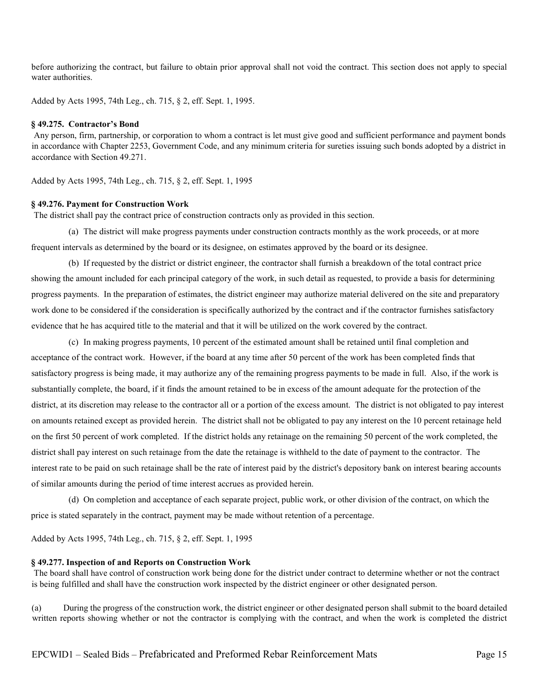before authorizing the contract, but failure to obtain prior approval shall not void the contract. This section does not apply to special water authorities.

Added by Acts 1995, 74th Leg., ch. 715, § 2, eff. Sept. 1, 1995.

#### **§ 49.275. Contractor's Bond**

Any person, firm, partnership, or corporation to whom a contract is let must give good and sufficient performance and payment bonds in accordance with Chapter 2253, Government Code, and any minimum criteria for sureties issuing such bonds adopted by a district in accordance with Section 49.271.

Added by Acts 1995, 74th Leg., ch. 715, § 2, eff. Sept. 1, 1995

#### **§ 49.276. Payment for Construction Work**

The district shall pay the contract price of construction contracts only as provided in this section.

(a) The district will make progress payments under construction contracts monthly as the work proceeds, or at more frequent intervals as determined by the board or its designee, on estimates approved by the board or its designee.

(b) If requested by the district or district engineer, the contractor shall furnish a breakdown of the total contract price showing the amount included for each principal category of the work, in such detail as requested, to provide a basis for determining progress payments. In the preparation of estimates, the district engineer may authorize material delivered on the site and preparatory work done to be considered if the consideration is specifically authorized by the contract and if the contractor furnishes satisfactory evidence that he has acquired title to the material and that it will be utilized on the work covered by the contract.

(c) In making progress payments, 10 percent of the estimated amount shall be retained until final completion and acceptance of the contract work. However, if the board at any time after 50 percent of the work has been completed finds that satisfactory progress is being made, it may authorize any of the remaining progress payments to be made in full. Also, if the work is substantially complete, the board, if it finds the amount retained to be in excess of the amount adequate for the protection of the district, at its discretion may release to the contractor all or a portion of the excess amount. The district is not obligated to pay interest on amounts retained except as provided herein. The district shall not be obligated to pay any interest on the 10 percent retainage held on the first 50 percent of work completed. If the district holds any retainage on the remaining 50 percent of the work completed, the district shall pay interest on such retainage from the date the retainage is withheld to the date of payment to the contractor. The interest rate to be paid on such retainage shall be the rate of interest paid by the district's depository bank on interest bearing accounts of similar amounts during the period of time interest accrues as provided herein.

(d) On completion and acceptance of each separate project, public work, or other division of the contract, on which the price is stated separately in the contract, payment may be made without retention of a percentage.

Added by Acts 1995, 74th Leg., ch. 715, § 2, eff. Sept. 1, 1995

#### **§ 49.277. Inspection of and Reports on Construction Work**

The board shall have control of construction work being done for the district under contract to determine whether or not the contract is being fulfilled and shall have the construction work inspected by the district engineer or other designated person.

(a) During the progress of the construction work, the district engineer or other designated person shall submit to the board detailed written reports showing whether or not the contractor is complying with the contract, and when the work is completed the district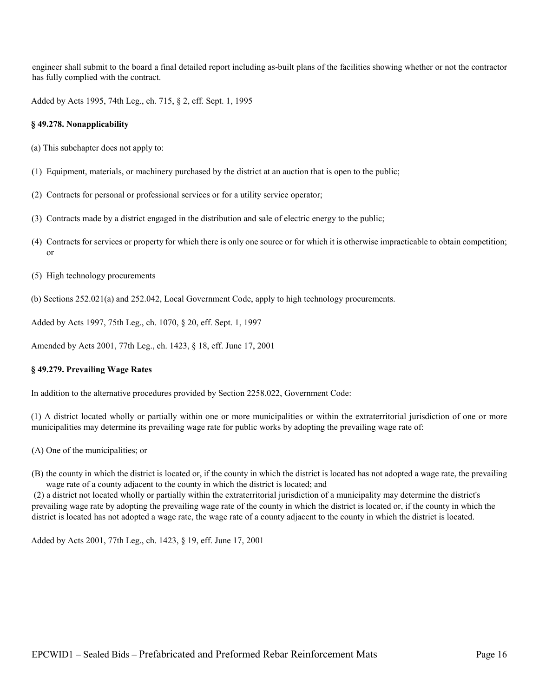engineer shall submit to the board a final detailed report including as-built plans of the facilities showing whether or not the contractor has fully complied with the contract.

Added by Acts 1995, 74th Leg., ch. 715, § 2, eff. Sept. 1, 1995

#### **§ 49.278. Nonapplicability**

- (a) This subchapter does not apply to:
- (1) Equipment, materials, or machinery purchased by the district at an auction that is open to the public;
- (2) Contracts for personal or professional services or for a utility service operator;
- (3) Contracts made by a district engaged in the distribution and sale of electric energy to the public;
- (4) Contracts for services or property for which there is only one source or for which it is otherwise impracticable to obtain competition; or
- (5) High technology procurements
- (b) Sections 252.021(a) and 252.042, Local Government Code, apply to high technology procurements.

Added by Acts 1997, 75th Leg., ch. 1070, § 20, eff. Sept. 1, 1997

Amended by Acts 2001, 77th Leg., ch. 1423, § 18, eff. June 17, 2001

#### **§ 49.279. Prevailing Wage Rates**

In addition to the alternative procedures provided by Section 2258.022, Government Code:

(1) A district located wholly or partially within one or more municipalities or within the extraterritorial jurisdiction of one or more municipalities may determine its prevailing wage rate for public works by adopting the prevailing wage rate of:

- (A) One of the municipalities; or
- (B) the county in which the district is located or, if the county in which the district is located has not adopted a wage rate, the prevailing wage rate of a county adjacent to the county in which the district is located; and

(2) a district not located wholly or partially within the extraterritorial jurisdiction of a municipality may determine the district's prevailing wage rate by adopting the prevailing wage rate of the county in which the district is located or, if the county in which the district is located has not adopted a wage rate, the wage rate of a county adjacent to the county in which the district is located.

Added by Acts 2001, 77th Leg., ch. 1423, § 19, eff. June 17, 2001